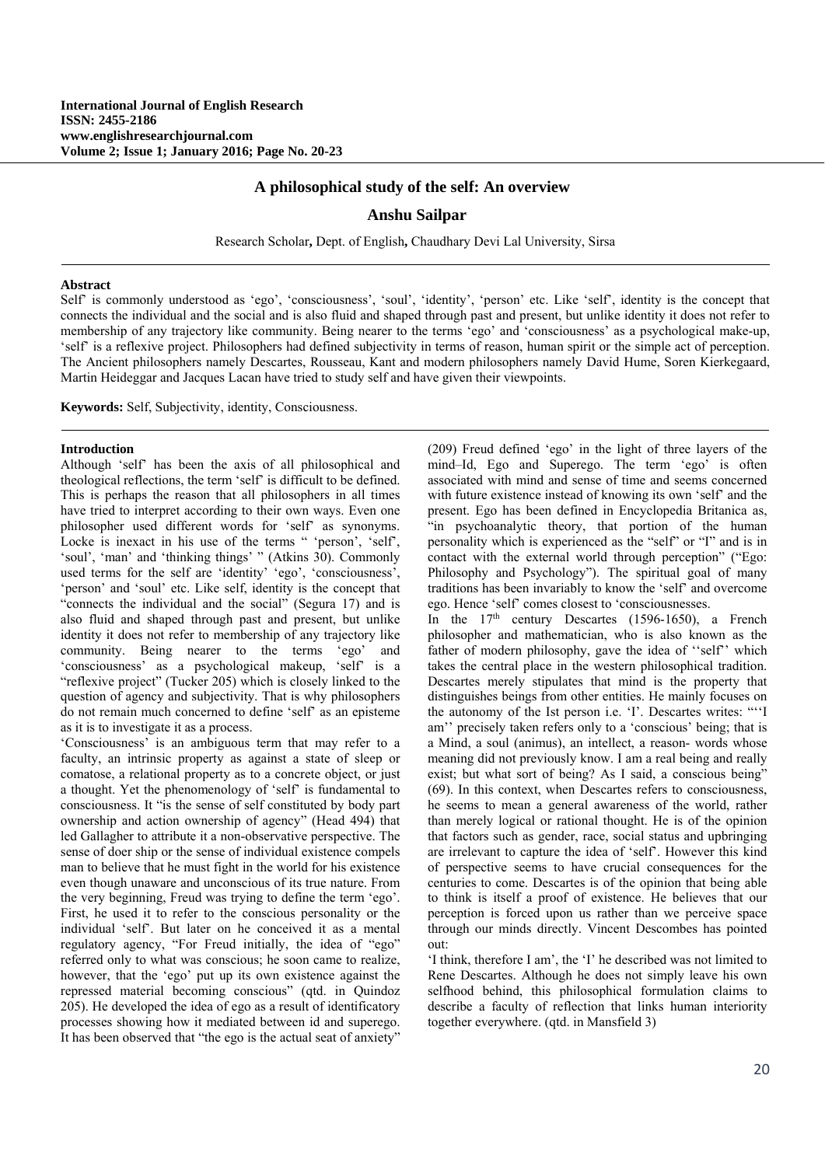# **A philosophical study of the self: An overview**

## **Anshu Sailpar**

Research Scholar**,** Dept. of English**,** Chaudhary Devi Lal University, Sirsa

#### **Abstract**

Self' is commonly understood as 'ego', 'consciousness', 'soul', 'identity', 'person' etc. Like 'self', identity is the concept that connects the individual and the social and is also fluid and shaped through past and present, but unlike identity it does not refer to membership of any trajectory like community. Being nearer to the terms 'ego' and 'consciousness' as a psychological make-up, 'self' is a reflexive project. Philosophers had defined subjectivity in terms of reason, human spirit or the simple act of perception. The Ancient philosophers namely Descartes, Rousseau, Kant and modern philosophers namely David Hume, Soren Kierkegaard, Martin Heideggar and Jacques Lacan have tried to study self and have given their viewpoints.

**Keywords:** Self, Subjectivity, identity, Consciousness.

### **Introduction**

Although 'self' has been the axis of all philosophical and theological reflections, the term 'self' is difficult to be defined. This is perhaps the reason that all philosophers in all times have tried to interpret according to their own ways. Even one philosopher used different words for 'self' as synonyms. Locke is inexact in his use of the terms " 'person', 'self', 'soul', 'man' and 'thinking things' " (Atkins 30). Commonly used terms for the self are 'identity' 'ego', 'consciousness', 'person' and 'soul' etc. Like self, identity is the concept that "connects the individual and the social" (Segura 17) and is also fluid and shaped through past and present, but unlike identity it does not refer to membership of any trajectory like community. Being nearer to the terms 'ego' and 'consciousness' as a psychological makeup, 'self' is a "reflexive project" (Tucker 205) which is closely linked to the question of agency and subjectivity. That is why philosophers do not remain much concerned to define 'self' as an episteme as it is to investigate it as a process.

'Consciousness' is an ambiguous term that may refer to a faculty, an intrinsic property as against a state of sleep or comatose, a relational property as to a concrete object, or just a thought. Yet the phenomenology of 'self' is fundamental to consciousness. It "is the sense of self constituted by body part ownership and action ownership of agency" (Head 494) that led Gallagher to attribute it a non-observative perspective. The sense of doer ship or the sense of individual existence compels man to believe that he must fight in the world for his existence even though unaware and unconscious of its true nature. From the very beginning, Freud was trying to define the term 'ego'. First, he used it to refer to the conscious personality or the individual 'self'. But later on he conceived it as a mental regulatory agency, "For Freud initially, the idea of "ego" referred only to what was conscious; he soon came to realize, however, that the 'ego' put up its own existence against the repressed material becoming conscious" (qtd. in Quindoz 205). He developed the idea of ego as a result of identificatory processes showing how it mediated between id and superego. It has been observed that "the ego is the actual seat of anxiety"

(209) Freud defined 'ego' in the light of three layers of the mind–Id, Ego and Superego. The term 'ego' is often associated with mind and sense of time and seems concerned with future existence instead of knowing its own 'self' and the present. Ego has been defined in Encyclopedia Britanica as, "in psychoanalytic theory, that portion of the human personality which is experienced as the "self" or "I" and is in contact with the external world through perception" ("Ego: Philosophy and Psychology"). The spiritual goal of many traditions has been invariably to know the 'self' and overcome ego. Hence 'self' comes closest to 'consciousnesses.

In the  $17<sup>th</sup>$  century Descartes (1596-1650), a French philosopher and mathematician, who is also known as the father of modern philosophy, gave the idea of ''self'' which takes the central place in the western philosophical tradition. Descartes merely stipulates that mind is the property that distinguishes beings from other entities. He mainly focuses on the autonomy of the Ist person i.e. 'I'. Descartes writes: "''I am'' precisely taken refers only to a 'conscious' being; that is a Mind, a soul (animus), an intellect, a reason- words whose meaning did not previously know. I am a real being and really exist; but what sort of being? As I said, a conscious being" (69). In this context, when Descartes refers to consciousness, he seems to mean a general awareness of the world, rather than merely logical or rational thought. He is of the opinion that factors such as gender, race, social status and upbringing are irrelevant to capture the idea of 'self'. However this kind of perspective seems to have crucial consequences for the centuries to come. Descartes is of the opinion that being able to think is itself a proof of existence. He believes that our perception is forced upon us rather than we perceive space through our minds directly. Vincent Descombes has pointed out:

'I think, therefore I am', the 'I' he described was not limited to Rene Descartes. Although he does not simply leave his own selfhood behind, this philosophical formulation claims to describe a faculty of reflection that links human interiority together everywhere. (qtd. in Mansfield 3)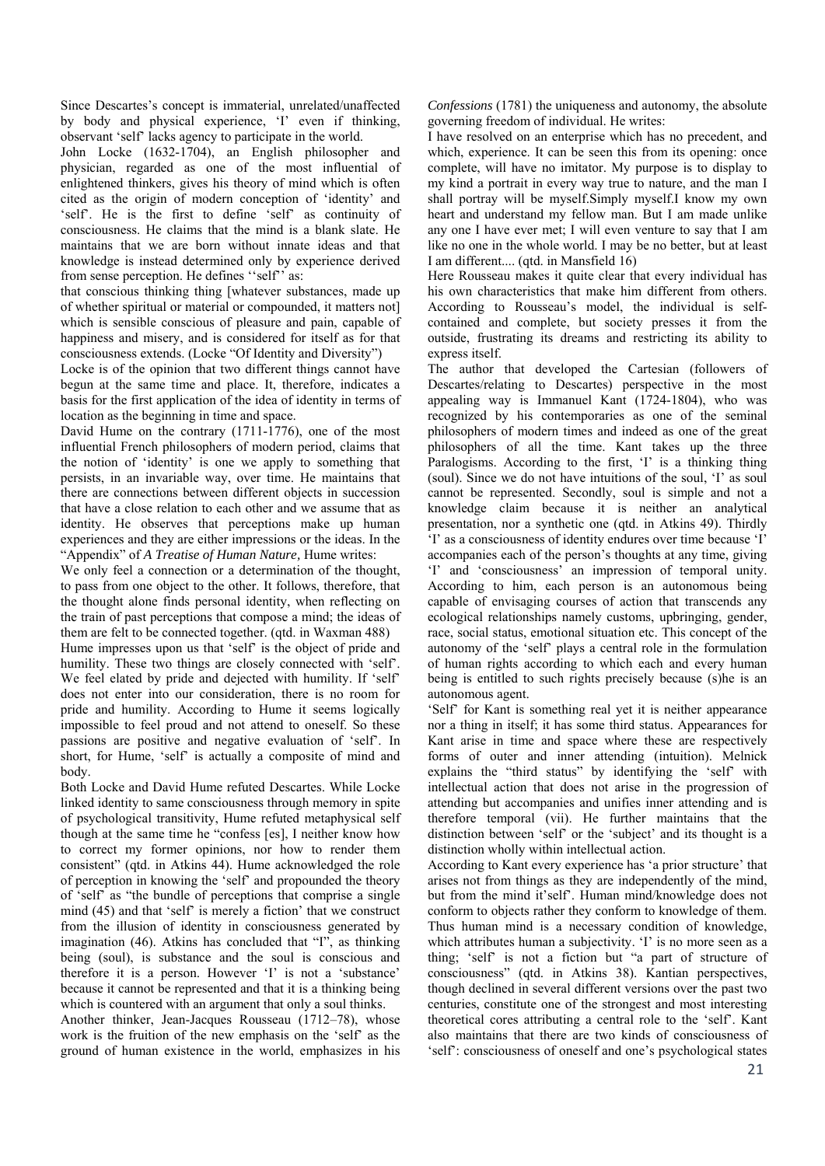Since Descartes's concept is immaterial, unrelated/unaffected by body and physical experience, 'I' even if thinking, observant 'self' lacks agency to participate in the world.

John Locke (1632-1704), an English philosopher and physician, regarded as one of the most influential of enlightened thinkers, gives his theory of mind which is often cited as the origin of modern conception of 'identity' and 'self'. He is the first to define 'self' as continuity of consciousness. He claims that the mind is a blank slate. He maintains that we are born without innate ideas and that knowledge is instead determined only by experience derived from sense perception. He defines ''self'' as:

that conscious thinking thing [whatever substances, made up of whether spiritual or material or compounded, it matters not] which is sensible conscious of pleasure and pain, capable of happiness and misery, and is considered for itself as for that consciousness extends. (Locke "Of Identity and Diversity")

Locke is of the opinion that two different things cannot have begun at the same time and place. It, therefore, indicates a basis for the first application of the idea of identity in terms of location as the beginning in time and space.

David Hume on the contrary (1711-1776), one of the most influential French philosophers of modern period, claims that the notion of 'identity' is one we apply to something that persists, in an invariable way, over time. He maintains that there are connections between different objects in succession that have a close relation to each other and we assume that as identity. He observes that perceptions make up human experiences and they are either impressions or the ideas. In the "Appendix" of *A Treatise of Human Nature,* Hume writes:

We only feel a connection or a determination of the thought, to pass from one object to the other. It follows, therefore, that the thought alone finds personal identity, when reflecting on the train of past perceptions that compose a mind; the ideas of them are felt to be connected together. (qtd. in Waxman 488)

Hume impresses upon us that 'self' is the object of pride and humility. These two things are closely connected with 'self'. We feel elated by pride and dejected with humility. If 'self' does not enter into our consideration, there is no room for pride and humility. According to Hume it seems logically impossible to feel proud and not attend to oneself. So these passions are positive and negative evaluation of 'self'. In short, for Hume, 'self' is actually a composite of mind and body.

Both Locke and David Hume refuted Descartes. While Locke linked identity to same consciousness through memory in spite of psychological transitivity, Hume refuted metaphysical self though at the same time he "confess [es], I neither know how to correct my former opinions, nor how to render them consistent" (qtd. in Atkins 44). Hume acknowledged the role of perception in knowing the 'self' and propounded the theory of 'self' as "the bundle of perceptions that comprise a single mind (45) and that 'self' is merely a fiction' that we construct from the illusion of identity in consciousness generated by imagination (46). Atkins has concluded that "I", as thinking being (soul), is substance and the soul is conscious and therefore it is a person. However 'I' is not a 'substance' because it cannot be represented and that it is a thinking being which is countered with an argument that only a soul thinks.

Another thinker, Jean-Jacques Rousseau (1712–78), whose work is the fruition of the new emphasis on the 'self' as the ground of human existence in the world, emphasizes in his *Confessions* (1781) the uniqueness and autonomy, the absolute governing freedom of individual. He writes:

I have resolved on an enterprise which has no precedent, and which, experience. It can be seen this from its opening: once complete, will have no imitator. My purpose is to display to my kind a portrait in every way true to nature, and the man I shall portray will be myself.Simply myself.I know my own heart and understand my fellow man. But I am made unlike any one I have ever met; I will even venture to say that I am like no one in the whole world. I may be no better, but at least I am different.... (qtd. in Mansfield 16)

Here Rousseau makes it quite clear that every individual has his own characteristics that make him different from others. According to Rousseau's model, the individual is selfcontained and complete, but society presses it from the outside, frustrating its dreams and restricting its ability to express itself.

The author that developed the Cartesian (followers of Descartes/relating to Descartes) perspective in the most appealing way is Immanuel Kant (1724-1804), who was recognized by his contemporaries as one of the seminal philosophers of modern times and indeed as one of the great philosophers of all the time. Kant takes up the three Paralogisms. According to the first, 'I' is a thinking thing (soul). Since we do not have intuitions of the soul, 'I' as soul cannot be represented. Secondly, soul is simple and not a knowledge claim because it is neither an analytical presentation, nor a synthetic one (qtd. in Atkins 49). Thirdly 'I' as a consciousness of identity endures over time because 'I' accompanies each of the person's thoughts at any time, giving 'I' and 'consciousness' an impression of temporal unity. According to him, each person is an autonomous being capable of envisaging courses of action that transcends any ecological relationships namely customs, upbringing, gender, race, social status, emotional situation etc. This concept of the autonomy of the 'self' plays a central role in the formulation of human rights according to which each and every human being is entitled to such rights precisely because (s)he is an autonomous agent.

'Self' for Kant is something real yet it is neither appearance nor a thing in itself; it has some third status. Appearances for Kant arise in time and space where these are respectively forms of outer and inner attending (intuition). Melnick explains the "third status" by identifying the 'self' with intellectual action that does not arise in the progression of attending but accompanies and unifies inner attending and is therefore temporal (vii). He further maintains that the distinction between 'self' or the 'subject' and its thought is a distinction wholly within intellectual action.

According to Kant every experience has 'a prior structure' that arises not from things as they are independently of the mind, but from the mind it'self'. Human mind/knowledge does not conform to objects rather they conform to knowledge of them. Thus human mind is a necessary condition of knowledge, which attributes human a subjectivity. 'I' is no more seen as a thing; 'self' is not a fiction but "a part of structure of consciousness" (qtd. in Atkins 38). Kantian perspectives, though declined in several different versions over the past two centuries, constitute one of the strongest and most interesting theoretical cores attributing a central role to the 'self'. Kant also maintains that there are two kinds of consciousness of 'self': consciousness of oneself and one's psychological states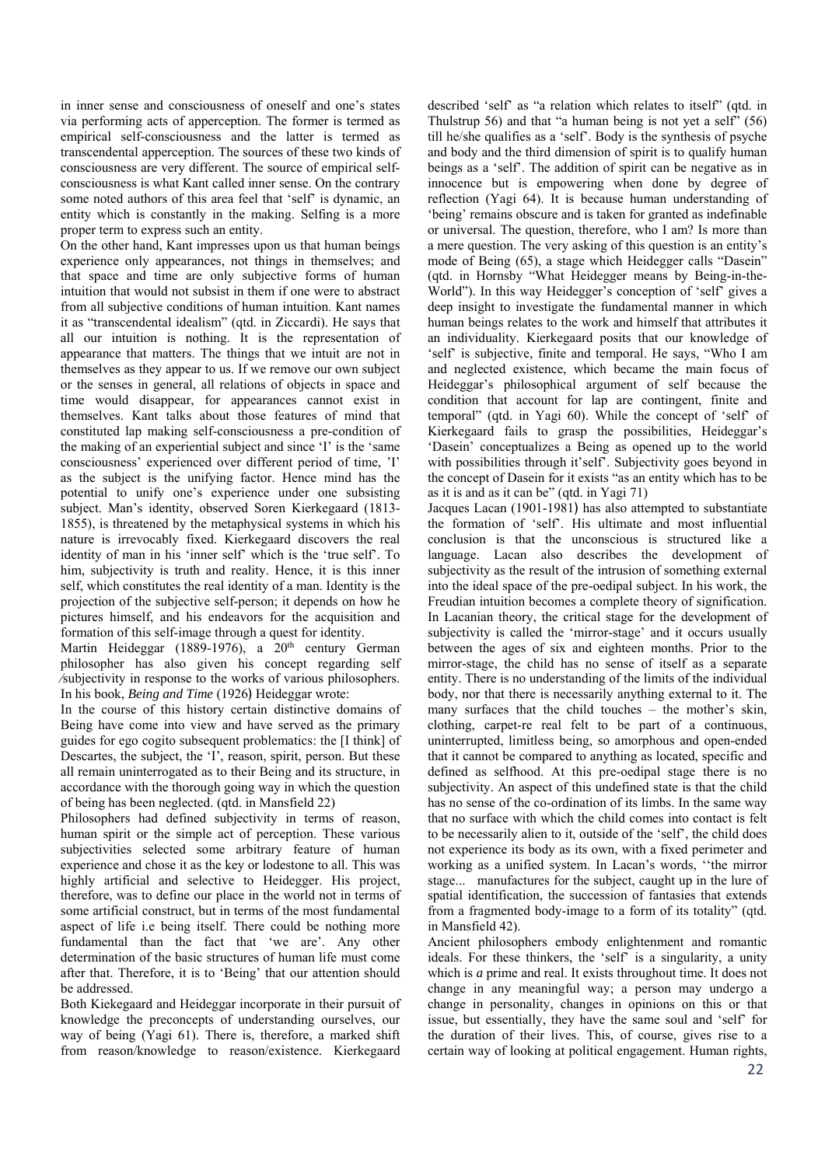in inner sense and consciousness of oneself and one's states via performing acts of apperception. The former is termed as empirical self-consciousness and the latter is termed as transcendental apperception. The sources of these two kinds of consciousness are very different. The source of empirical selfconsciousness is what Kant called inner sense. On the contrary some noted authors of this area feel that 'self' is dynamic, an entity which is constantly in the making. Selfing is a more proper term to express such an entity.

On the other hand, Kant impresses upon us that human beings experience only appearances, not things in themselves; and that space and time are only subjective forms of human intuition that would not subsist in them if one were to abstract from all subjective conditions of human intuition. Kant names it as "transcendental idealism" (qtd. in Ziccardi). He says that all our intuition is nothing. It is the representation of appearance that matters. The things that we intuit are not in themselves as they appear to us. If we remove our own subject or the senses in general, all relations of objects in space and time would disappear, for appearances cannot exist in themselves. Kant talks about those features of mind that constituted lap making self-consciousness a pre-condition of the making of an experiential subject and since 'I' is the 'same consciousness' experienced over different period of time, 'I' as the subject is the unifying factor. Hence mind has the potential to unify one's experience under one subsisting subject. Man's identity, observed Soren Kierkegaard (1813- 1855), is threatened by the metaphysical systems in which his nature is irrevocably fixed. Kierkegaard discovers the real identity of man in his 'inner self' which is the 'true self'. To him, subjectivity is truth and reality. Hence, it is this inner self, which constitutes the real identity of a man. Identity is the projection of the subjective self-person; it depends on how he pictures himself, and his endeavors for the acquisition and formation of this self-image through a quest for identity.

Martin Heideggar (1889-1976), a  $20<sup>th</sup>$  century German philosopher has also given his concept regarding self ⁄subjectivity in response to the works of various philosophers. In his book, *Being and Time* (1926) Heideggar wrote:

In the course of this history certain distinctive domains of Being have come into view and have served as the primary guides for ego cogito subsequent problematics: the [I think] of Descartes, the subject, the 'I', reason, spirit, person. But these all remain uninterrogated as to their Being and its structure, in accordance with the thorough going way in which the question of being has been neglected. (qtd. in Mansfield 22)

Philosophers had defined subjectivity in terms of reason, human spirit or the simple act of perception. These various subjectivities selected some arbitrary feature of human experience and chose it as the key or lodestone to all. This was highly artificial and selective to Heidegger. His project, therefore, was to define our place in the world not in terms of some artificial construct, but in terms of the most fundamental aspect of life i.e being itself. There could be nothing more fundamental than the fact that 'we are'. Any other determination of the basic structures of human life must come after that. Therefore, it is to 'Being' that our attention should be addressed.

Both Kiekegaard and Heideggar incorporate in their pursuit of knowledge the preconcepts of understanding ourselves, our way of being (Yagi 61). There is, therefore, a marked shift from reason/knowledge to reason/existence. Kierkegaard

described 'self' as "a relation which relates to itself" (qtd. in Thulstrup 56) and that "a human being is not yet a self" (56) till he/she qualifies as a 'self'. Body is the synthesis of psyche and body and the third dimension of spirit is to qualify human beings as a 'self'. The addition of spirit can be negative as in innocence but is empowering when done by degree of reflection (Yagi 64). It is because human understanding of 'being' remains obscure and is taken for granted as indefinable or universal. The question, therefore, who I am? Is more than a mere question. The very asking of this question is an entity's mode of Being (65), a stage which Heidegger calls "Dasein" (qtd. in Hornsby "What Heidegger means by Being-in-the-World"). In this way Heidegger's conception of 'self' gives a deep insight to investigate the fundamental manner in which human beings relates to the work and himself that attributes it an individuality. Kierkegaard posits that our knowledge of 'self' is subjective, finite and temporal. He says, "Who I am and neglected existence, which became the main focus of Heideggar's philosophical argument of self because the condition that account for lap are contingent, finite and temporal" (qtd. in Yagi 60). While the concept of 'self' of Kierkegaard fails to grasp the possibilities, Heideggar's 'Dasein' conceptualizes a Being as opened up to the world with possibilities through it'self'. Subjectivity goes beyond in the concept of Dasein for it exists "as an entity which has to be as it is and as it can be" (qtd. in Yagi 71)

Jacques Lacan (1901-1981) has also attempted to substantiate the formation of 'self'. His ultimate and most influential conclusion is that the unconscious is structured like a language. Lacan also describes the development of subjectivity as the result of the intrusion of something external into the ideal space of the pre-oedipal subject. In his work, the Freudian intuition becomes a complete theory of signification. In Lacanian theory, the critical stage for the development of subjectivity is called the 'mirror-stage' and it occurs usually between the ages of six and eighteen months. Prior to the mirror-stage, the child has no sense of itself as a separate entity. There is no understanding of the limits of the individual body, nor that there is necessarily anything external to it. The many surfaces that the child touches – the mother's skin, clothing, carpet-re real felt to be part of a continuous, uninterrupted, limitless being, so amorphous and open-ended that it cannot be compared to anything as located, specific and defined as selfhood. At this pre-oedipal stage there is no subjectivity. An aspect of this undefined state is that the child has no sense of the co-ordination of its limbs. In the same way that no surface with which the child comes into contact is felt to be necessarily alien to it, outside of the 'self', the child does not experience its body as its own, with a fixed perimeter and working as a unified system. In Lacan's words, ''the mirror stage... manufactures for the subject, caught up in the lure of spatial identification, the succession of fantasies that extends from a fragmented body-image to a form of its totality" (qtd. in Mansfield 42).

Ancient philosophers embody enlightenment and romantic ideals. For these thinkers, the 'self' is a singularity, a unity which is *a* prime and real. It exists throughout time. It does not change in any meaningful way; a person may undergo a change in personality, changes in opinions on this or that issue, but essentially, they have the same soul and 'self' for the duration of their lives. This, of course, gives rise to a certain way of looking at political engagement. Human rights,